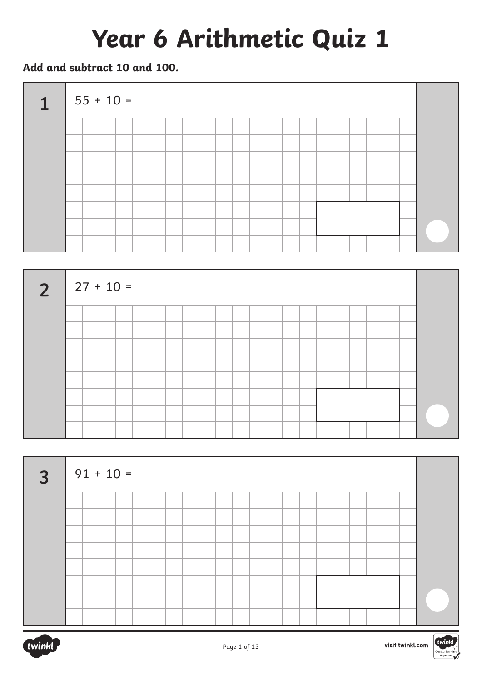# **Year 6 Arithmetic Quiz 1**

**Add and subtract 10 and 100.**







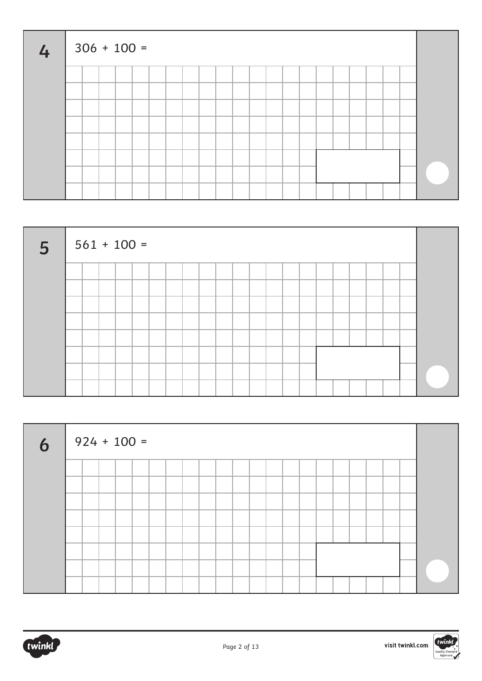| 4 <sup>1</sup> | $306 + 100 =$ |  |  |  |  |  |  |  |  |  |  |  |
|----------------|---------------|--|--|--|--|--|--|--|--|--|--|--|
|                |               |  |  |  |  |  |  |  |  |  |  |  |
|                |               |  |  |  |  |  |  |  |  |  |  |  |
|                |               |  |  |  |  |  |  |  |  |  |  |  |
|                |               |  |  |  |  |  |  |  |  |  |  |  |
|                |               |  |  |  |  |  |  |  |  |  |  |  |
|                |               |  |  |  |  |  |  |  |  |  |  |  |
|                |               |  |  |  |  |  |  |  |  |  |  |  |
|                |               |  |  |  |  |  |  |  |  |  |  |  |



| 6 <sup>1</sup> | $924 + 100 =$ |  |  |  |  |  |  |  |  |  |  |
|----------------|---------------|--|--|--|--|--|--|--|--|--|--|
|                |               |  |  |  |  |  |  |  |  |  |  |
|                |               |  |  |  |  |  |  |  |  |  |  |
|                |               |  |  |  |  |  |  |  |  |  |  |
|                |               |  |  |  |  |  |  |  |  |  |  |
|                |               |  |  |  |  |  |  |  |  |  |  |
|                |               |  |  |  |  |  |  |  |  |  |  |
|                |               |  |  |  |  |  |  |  |  |  |  |
|                |               |  |  |  |  |  |  |  |  |  |  |

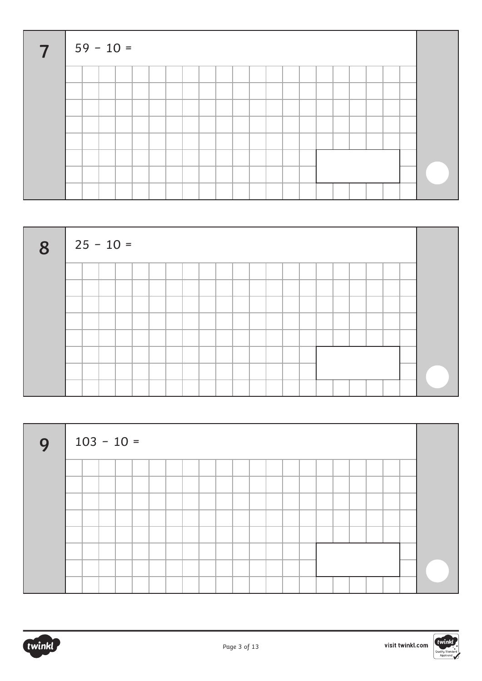| $\overline{7}$ | $59 - 10 =$ |  |  |  |  |  |  |  |  |  |  |  |
|----------------|-------------|--|--|--|--|--|--|--|--|--|--|--|
|                |             |  |  |  |  |  |  |  |  |  |  |  |
|                |             |  |  |  |  |  |  |  |  |  |  |  |
|                |             |  |  |  |  |  |  |  |  |  |  |  |
|                |             |  |  |  |  |  |  |  |  |  |  |  |
|                |             |  |  |  |  |  |  |  |  |  |  |  |
|                |             |  |  |  |  |  |  |  |  |  |  |  |
|                |             |  |  |  |  |  |  |  |  |  |  |  |
|                |             |  |  |  |  |  |  |  |  |  |  |  |







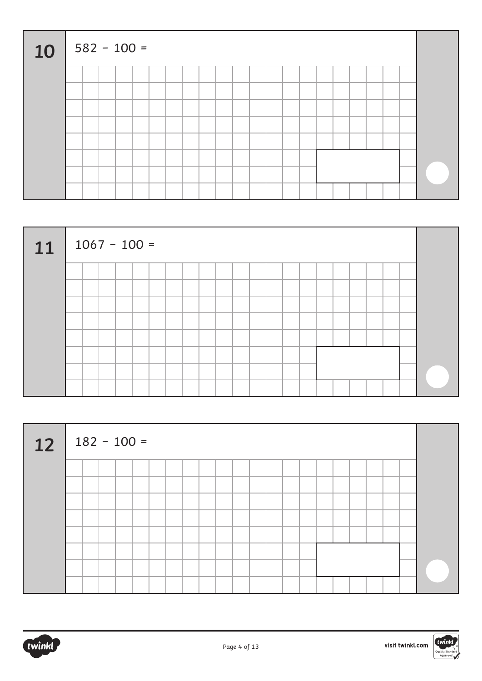| 10 |  | $582 - 100 =$ |  |  |  |  |  |  |  |  |  |  |
|----|--|---------------|--|--|--|--|--|--|--|--|--|--|
|    |  |               |  |  |  |  |  |  |  |  |  |  |
|    |  |               |  |  |  |  |  |  |  |  |  |  |
|    |  |               |  |  |  |  |  |  |  |  |  |  |
|    |  |               |  |  |  |  |  |  |  |  |  |  |
|    |  |               |  |  |  |  |  |  |  |  |  |  |
|    |  |               |  |  |  |  |  |  |  |  |  |  |
|    |  |               |  |  |  |  |  |  |  |  |  |  |
|    |  |               |  |  |  |  |  |  |  |  |  |  |

| 11 | $1067 - 100 =$ |  |  |  |  |  |  |  |  |  |  |
|----|----------------|--|--|--|--|--|--|--|--|--|--|
|    |                |  |  |  |  |  |  |  |  |  |  |
|    |                |  |  |  |  |  |  |  |  |  |  |
|    |                |  |  |  |  |  |  |  |  |  |  |
|    |                |  |  |  |  |  |  |  |  |  |  |
|    |                |  |  |  |  |  |  |  |  |  |  |
|    |                |  |  |  |  |  |  |  |  |  |  |
|    |                |  |  |  |  |  |  |  |  |  |  |
|    |                |  |  |  |  |  |  |  |  |  |  |

| 12 | $182 - 100 =$ |  |  |  |  |  |  |  |  |  |  |
|----|---------------|--|--|--|--|--|--|--|--|--|--|
|    |               |  |  |  |  |  |  |  |  |  |  |
|    |               |  |  |  |  |  |  |  |  |  |  |
|    |               |  |  |  |  |  |  |  |  |  |  |
|    |               |  |  |  |  |  |  |  |  |  |  |
|    |               |  |  |  |  |  |  |  |  |  |  |
|    |               |  |  |  |  |  |  |  |  |  |  |
|    |               |  |  |  |  |  |  |  |  |  |  |

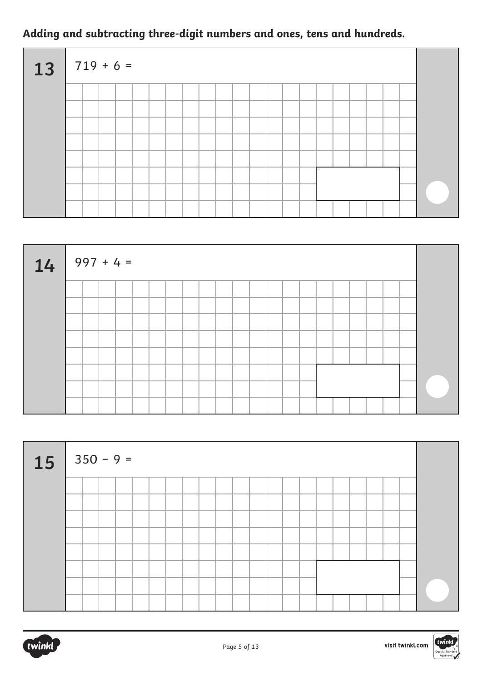### **Adding and subtracting three-digit numbers and ones, tens and hundreds.**

| $13   719 + 6 =$ |  |  |  |  |  |  |  |  |  |  |  |
|------------------|--|--|--|--|--|--|--|--|--|--|--|
|                  |  |  |  |  |  |  |  |  |  |  |  |
|                  |  |  |  |  |  |  |  |  |  |  |  |
|                  |  |  |  |  |  |  |  |  |  |  |  |
|                  |  |  |  |  |  |  |  |  |  |  |  |
|                  |  |  |  |  |  |  |  |  |  |  |  |
|                  |  |  |  |  |  |  |  |  |  |  |  |
|                  |  |  |  |  |  |  |  |  |  |  |  |
|                  |  |  |  |  |  |  |  |  |  |  |  |

| $14   997 + 4 =$ |  |  |  |  |  |  |  |  |  |  |  |
|------------------|--|--|--|--|--|--|--|--|--|--|--|
|                  |  |  |  |  |  |  |  |  |  |  |  |
|                  |  |  |  |  |  |  |  |  |  |  |  |
|                  |  |  |  |  |  |  |  |  |  |  |  |
|                  |  |  |  |  |  |  |  |  |  |  |  |
|                  |  |  |  |  |  |  |  |  |  |  |  |
|                  |  |  |  |  |  |  |  |  |  |  |  |
|                  |  |  |  |  |  |  |  |  |  |  |  |
|                  |  |  |  |  |  |  |  |  |  |  |  |

| $15 \mid 350 - 9 =$ |  |  |  |  |  |  |  |  |  |  |  |
|---------------------|--|--|--|--|--|--|--|--|--|--|--|
|                     |  |  |  |  |  |  |  |  |  |  |  |
|                     |  |  |  |  |  |  |  |  |  |  |  |
|                     |  |  |  |  |  |  |  |  |  |  |  |
|                     |  |  |  |  |  |  |  |  |  |  |  |
|                     |  |  |  |  |  |  |  |  |  |  |  |
|                     |  |  |  |  |  |  |  |  |  |  |  |
|                     |  |  |  |  |  |  |  |  |  |  |  |
|                     |  |  |  |  |  |  |  |  |  |  |  |



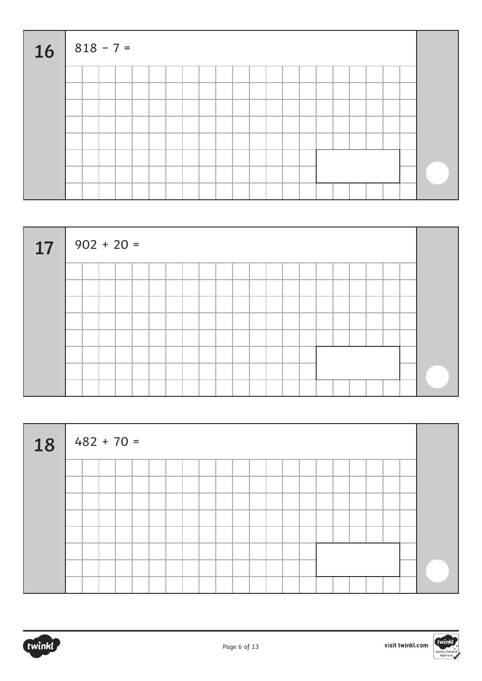| <b>16</b> |  | $818 - 7 =$ |  |  |  |  |  |  |  |  |  |  |
|-----------|--|-------------|--|--|--|--|--|--|--|--|--|--|
|           |  |             |  |  |  |  |  |  |  |  |  |  |
|           |  |             |  |  |  |  |  |  |  |  |  |  |
|           |  |             |  |  |  |  |  |  |  |  |  |  |
|           |  |             |  |  |  |  |  |  |  |  |  |  |
|           |  |             |  |  |  |  |  |  |  |  |  |  |
|           |  |             |  |  |  |  |  |  |  |  |  |  |
|           |  |             |  |  |  |  |  |  |  |  |  |  |
|           |  |             |  |  |  |  |  |  |  |  |  |  |

| 17 | $902 + 20 =$ |  |  |  |  |  |  |  |  |  |  |  |
|----|--------------|--|--|--|--|--|--|--|--|--|--|--|
|    |              |  |  |  |  |  |  |  |  |  |  |  |
|    |              |  |  |  |  |  |  |  |  |  |  |  |
|    |              |  |  |  |  |  |  |  |  |  |  |  |
|    |              |  |  |  |  |  |  |  |  |  |  |  |
|    |              |  |  |  |  |  |  |  |  |  |  |  |
|    |              |  |  |  |  |  |  |  |  |  |  |  |
|    |              |  |  |  |  |  |  |  |  |  |  |  |
|    |              |  |  |  |  |  |  |  |  |  |  |  |

| 18 | $  482 + 70 =$ |  |  |  |  |  |  |  |  |  |  |
|----|----------------|--|--|--|--|--|--|--|--|--|--|
|    |                |  |  |  |  |  |  |  |  |  |  |
|    |                |  |  |  |  |  |  |  |  |  |  |
|    |                |  |  |  |  |  |  |  |  |  |  |
|    |                |  |  |  |  |  |  |  |  |  |  |
|    |                |  |  |  |  |  |  |  |  |  |  |
|    |                |  |  |  |  |  |  |  |  |  |  |
|    |                |  |  |  |  |  |  |  |  |  |  |



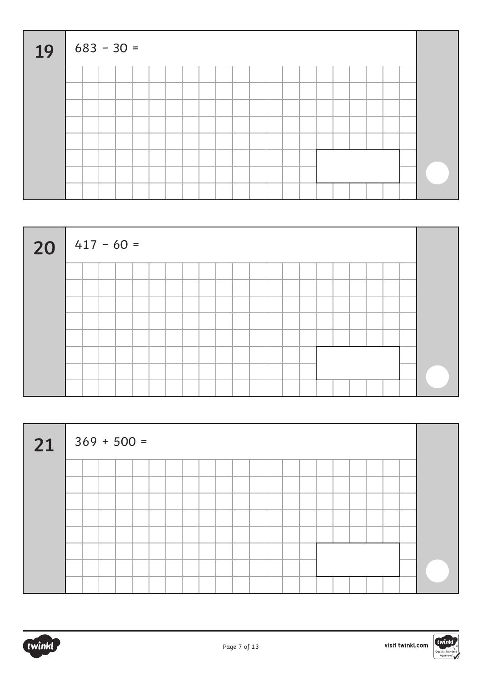| 19 |  | $683 - 30 =$ |  |  |  |  |  |  |  |  |  |  |
|----|--|--------------|--|--|--|--|--|--|--|--|--|--|
|    |  |              |  |  |  |  |  |  |  |  |  |  |
|    |  |              |  |  |  |  |  |  |  |  |  |  |
|    |  |              |  |  |  |  |  |  |  |  |  |  |
|    |  |              |  |  |  |  |  |  |  |  |  |  |
|    |  |              |  |  |  |  |  |  |  |  |  |  |
|    |  |              |  |  |  |  |  |  |  |  |  |  |
|    |  |              |  |  |  |  |  |  |  |  |  |  |
|    |  |              |  |  |  |  |  |  |  |  |  |  |



| 21 | $369 + 500 =$ |  |  |  |  |  |  |  |  |  |  |
|----|---------------|--|--|--|--|--|--|--|--|--|--|
|    |               |  |  |  |  |  |  |  |  |  |  |
|    |               |  |  |  |  |  |  |  |  |  |  |
|    |               |  |  |  |  |  |  |  |  |  |  |
|    |               |  |  |  |  |  |  |  |  |  |  |
|    |               |  |  |  |  |  |  |  |  |  |  |
|    |               |  |  |  |  |  |  |  |  |  |  |
|    |               |  |  |  |  |  |  |  |  |  |  |
|    |               |  |  |  |  |  |  |  |  |  |  |

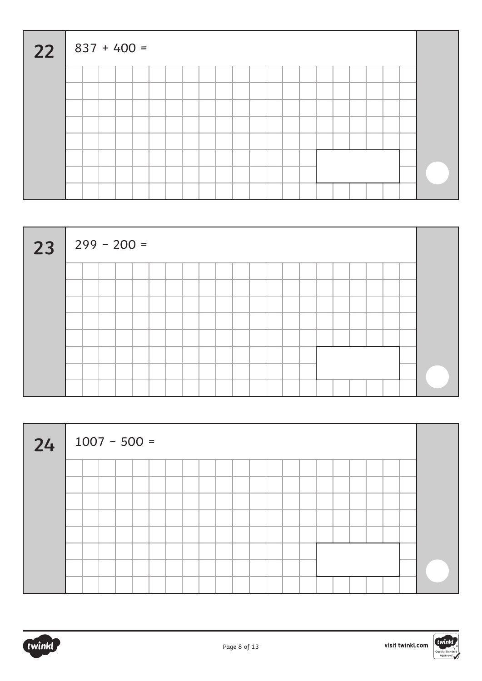| $22   837 + 400 =$ |  |  |  |  |  |  |  |  |  |  |  |
|--------------------|--|--|--|--|--|--|--|--|--|--|--|
|                    |  |  |  |  |  |  |  |  |  |  |  |
|                    |  |  |  |  |  |  |  |  |  |  |  |
|                    |  |  |  |  |  |  |  |  |  |  |  |
|                    |  |  |  |  |  |  |  |  |  |  |  |
|                    |  |  |  |  |  |  |  |  |  |  |  |
|                    |  |  |  |  |  |  |  |  |  |  |  |
|                    |  |  |  |  |  |  |  |  |  |  |  |
|                    |  |  |  |  |  |  |  |  |  |  |  |



| 24 | $1007 - 500 =$ |  |  |  |  |  |  |  |  |  |  |
|----|----------------|--|--|--|--|--|--|--|--|--|--|
|    |                |  |  |  |  |  |  |  |  |  |  |
|    |                |  |  |  |  |  |  |  |  |  |  |
|    |                |  |  |  |  |  |  |  |  |  |  |
|    |                |  |  |  |  |  |  |  |  |  |  |
|    |                |  |  |  |  |  |  |  |  |  |  |
|    |                |  |  |  |  |  |  |  |  |  |  |
|    |                |  |  |  |  |  |  |  |  |  |  |
|    |                |  |  |  |  |  |  |  |  |  |  |

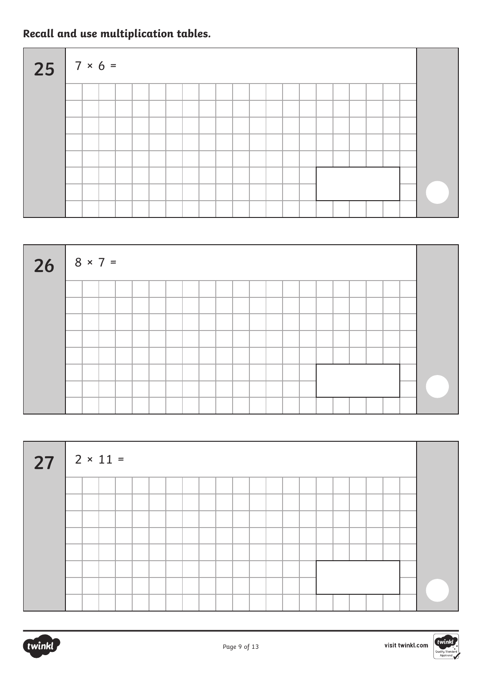### **Recall and use multiplication tables.**

| $25$ $7 \times 6 =$ |  |  |  |  |  |  |  |  |  |  |  |
|---------------------|--|--|--|--|--|--|--|--|--|--|--|
|                     |  |  |  |  |  |  |  |  |  |  |  |
|                     |  |  |  |  |  |  |  |  |  |  |  |
|                     |  |  |  |  |  |  |  |  |  |  |  |
|                     |  |  |  |  |  |  |  |  |  |  |  |
|                     |  |  |  |  |  |  |  |  |  |  |  |
|                     |  |  |  |  |  |  |  |  |  |  |  |
|                     |  |  |  |  |  |  |  |  |  |  |  |
|                     |  |  |  |  |  |  |  |  |  |  |  |

| 26 $8 \times 7 =$ |  |  |  |  |  |  |  |  |  |  |  |
|-------------------|--|--|--|--|--|--|--|--|--|--|--|
|                   |  |  |  |  |  |  |  |  |  |  |  |
|                   |  |  |  |  |  |  |  |  |  |  |  |
|                   |  |  |  |  |  |  |  |  |  |  |  |
|                   |  |  |  |  |  |  |  |  |  |  |  |
|                   |  |  |  |  |  |  |  |  |  |  |  |
|                   |  |  |  |  |  |  |  |  |  |  |  |
|                   |  |  |  |  |  |  |  |  |  |  |  |
|                   |  |  |  |  |  |  |  |  |  |  |  |

| $27$ $2 \times 11 =$ |  |  |  |  |  |  |  |  |  |  |  |
|----------------------|--|--|--|--|--|--|--|--|--|--|--|
|                      |  |  |  |  |  |  |  |  |  |  |  |
|                      |  |  |  |  |  |  |  |  |  |  |  |
|                      |  |  |  |  |  |  |  |  |  |  |  |
|                      |  |  |  |  |  |  |  |  |  |  |  |
|                      |  |  |  |  |  |  |  |  |  |  |  |
|                      |  |  |  |  |  |  |  |  |  |  |  |
|                      |  |  |  |  |  |  |  |  |  |  |  |
|                      |  |  |  |  |  |  |  |  |  |  |  |



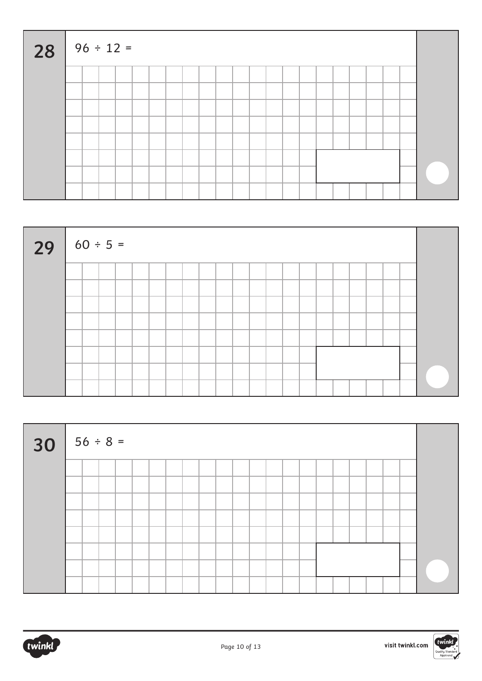| $28$ $96 \div 12 =$ |  |  |  |  |  |  |  |  |  |  |  |
|---------------------|--|--|--|--|--|--|--|--|--|--|--|
|                     |  |  |  |  |  |  |  |  |  |  |  |
|                     |  |  |  |  |  |  |  |  |  |  |  |
|                     |  |  |  |  |  |  |  |  |  |  |  |
|                     |  |  |  |  |  |  |  |  |  |  |  |
|                     |  |  |  |  |  |  |  |  |  |  |  |
|                     |  |  |  |  |  |  |  |  |  |  |  |
|                     |  |  |  |  |  |  |  |  |  |  |  |
|                     |  |  |  |  |  |  |  |  |  |  |  |

| 29 $60 \div 5 =$ |  |  |  |  |  |  |  |  |  |  |  |
|------------------|--|--|--|--|--|--|--|--|--|--|--|
|                  |  |  |  |  |  |  |  |  |  |  |  |
|                  |  |  |  |  |  |  |  |  |  |  |  |
|                  |  |  |  |  |  |  |  |  |  |  |  |
|                  |  |  |  |  |  |  |  |  |  |  |  |
|                  |  |  |  |  |  |  |  |  |  |  |  |
|                  |  |  |  |  |  |  |  |  |  |  |  |
|                  |  |  |  |  |  |  |  |  |  |  |  |
|                  |  |  |  |  |  |  |  |  |  |  |  |

| $30   56 \div 8 =$ |  |  |  |  |  |  |  |  |  |  |  |
|--------------------|--|--|--|--|--|--|--|--|--|--|--|
|                    |  |  |  |  |  |  |  |  |  |  |  |
|                    |  |  |  |  |  |  |  |  |  |  |  |
|                    |  |  |  |  |  |  |  |  |  |  |  |
|                    |  |  |  |  |  |  |  |  |  |  |  |
|                    |  |  |  |  |  |  |  |  |  |  |  |
|                    |  |  |  |  |  |  |  |  |  |  |  |
|                    |  |  |  |  |  |  |  |  |  |  |  |
|                    |  |  |  |  |  |  |  |  |  |  |  |

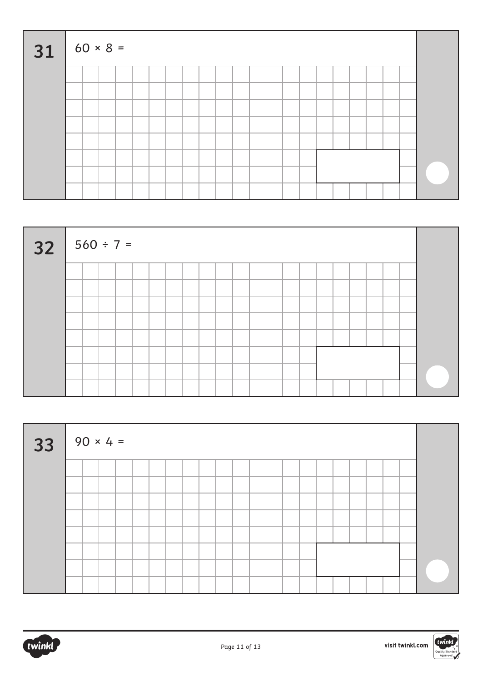| $31 \t 60 \times 8 =$ |  |  |  |  |  |  |  |  |  |  |  |
|-----------------------|--|--|--|--|--|--|--|--|--|--|--|
|                       |  |  |  |  |  |  |  |  |  |  |  |
|                       |  |  |  |  |  |  |  |  |  |  |  |
|                       |  |  |  |  |  |  |  |  |  |  |  |
|                       |  |  |  |  |  |  |  |  |  |  |  |
|                       |  |  |  |  |  |  |  |  |  |  |  |
|                       |  |  |  |  |  |  |  |  |  |  |  |
|                       |  |  |  |  |  |  |  |  |  |  |  |
|                       |  |  |  |  |  |  |  |  |  |  |  |

| $32   560 \div 7 =$ |  |  |  |  |  |  |  |  |  |  |  |
|---------------------|--|--|--|--|--|--|--|--|--|--|--|
|                     |  |  |  |  |  |  |  |  |  |  |  |
|                     |  |  |  |  |  |  |  |  |  |  |  |
|                     |  |  |  |  |  |  |  |  |  |  |  |
|                     |  |  |  |  |  |  |  |  |  |  |  |
|                     |  |  |  |  |  |  |  |  |  |  |  |
|                     |  |  |  |  |  |  |  |  |  |  |  |
|                     |  |  |  |  |  |  |  |  |  |  |  |
|                     |  |  |  |  |  |  |  |  |  |  |  |

| $33   90 \times 4 =$ |  |  |  |  |  |  |  |  |  |  |  |  |  |  |  |  |
|----------------------|--|--|--|--|--|--|--|--|--|--|--|--|--|--|--|--|
|                      |  |  |  |  |  |  |  |  |  |  |  |  |  |  |  |  |
|                      |  |  |  |  |  |  |  |  |  |  |  |  |  |  |  |  |
|                      |  |  |  |  |  |  |  |  |  |  |  |  |  |  |  |  |
|                      |  |  |  |  |  |  |  |  |  |  |  |  |  |  |  |  |
|                      |  |  |  |  |  |  |  |  |  |  |  |  |  |  |  |  |
|                      |  |  |  |  |  |  |  |  |  |  |  |  |  |  |  |  |
|                      |  |  |  |  |  |  |  |  |  |  |  |  |  |  |  |  |
|                      |  |  |  |  |  |  |  |  |  |  |  |  |  |  |  |  |



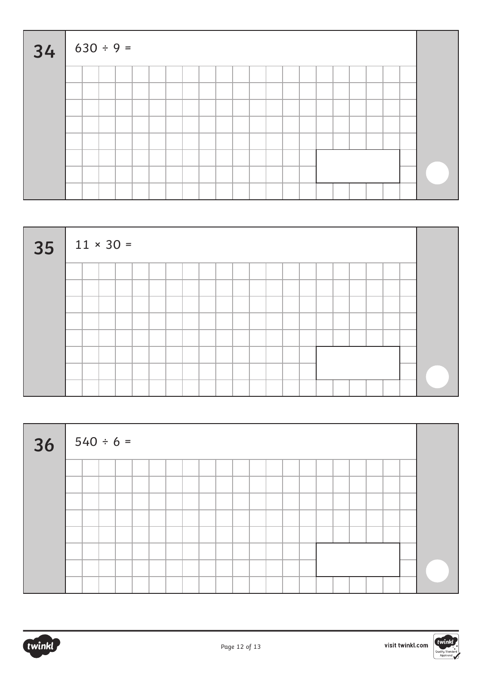| $34   630 \div 9 =$ |  |  |  |  |  |  |  |  |  |  |  |  |  |  |  |  |  |
|---------------------|--|--|--|--|--|--|--|--|--|--|--|--|--|--|--|--|--|
|                     |  |  |  |  |  |  |  |  |  |  |  |  |  |  |  |  |  |
|                     |  |  |  |  |  |  |  |  |  |  |  |  |  |  |  |  |  |
|                     |  |  |  |  |  |  |  |  |  |  |  |  |  |  |  |  |  |
|                     |  |  |  |  |  |  |  |  |  |  |  |  |  |  |  |  |  |
|                     |  |  |  |  |  |  |  |  |  |  |  |  |  |  |  |  |  |
|                     |  |  |  |  |  |  |  |  |  |  |  |  |  |  |  |  |  |
|                     |  |  |  |  |  |  |  |  |  |  |  |  |  |  |  |  |  |
|                     |  |  |  |  |  |  |  |  |  |  |  |  |  |  |  |  |  |

| $35$   11 × 30 = |  |  |  |  |  |  |  |  |  |  |  |  |  |  |  |  |
|------------------|--|--|--|--|--|--|--|--|--|--|--|--|--|--|--|--|
|                  |  |  |  |  |  |  |  |  |  |  |  |  |  |  |  |  |
|                  |  |  |  |  |  |  |  |  |  |  |  |  |  |  |  |  |
|                  |  |  |  |  |  |  |  |  |  |  |  |  |  |  |  |  |
|                  |  |  |  |  |  |  |  |  |  |  |  |  |  |  |  |  |
|                  |  |  |  |  |  |  |  |  |  |  |  |  |  |  |  |  |
|                  |  |  |  |  |  |  |  |  |  |  |  |  |  |  |  |  |
|                  |  |  |  |  |  |  |  |  |  |  |  |  |  |  |  |  |
|                  |  |  |  |  |  |  |  |  |  |  |  |  |  |  |  |  |

| 36 | $540 \div 6 =$ |  |  |  |  |  |  |  |  |  |  |  |  |  |  |  |  |
|----|----------------|--|--|--|--|--|--|--|--|--|--|--|--|--|--|--|--|
|    |                |  |  |  |  |  |  |  |  |  |  |  |  |  |  |  |  |
|    |                |  |  |  |  |  |  |  |  |  |  |  |  |  |  |  |  |
|    |                |  |  |  |  |  |  |  |  |  |  |  |  |  |  |  |  |
|    |                |  |  |  |  |  |  |  |  |  |  |  |  |  |  |  |  |
|    |                |  |  |  |  |  |  |  |  |  |  |  |  |  |  |  |  |
|    |                |  |  |  |  |  |  |  |  |  |  |  |  |  |  |  |  |
|    |                |  |  |  |  |  |  |  |  |  |  |  |  |  |  |  |  |
|    |                |  |  |  |  |  |  |  |  |  |  |  |  |  |  |  |  |



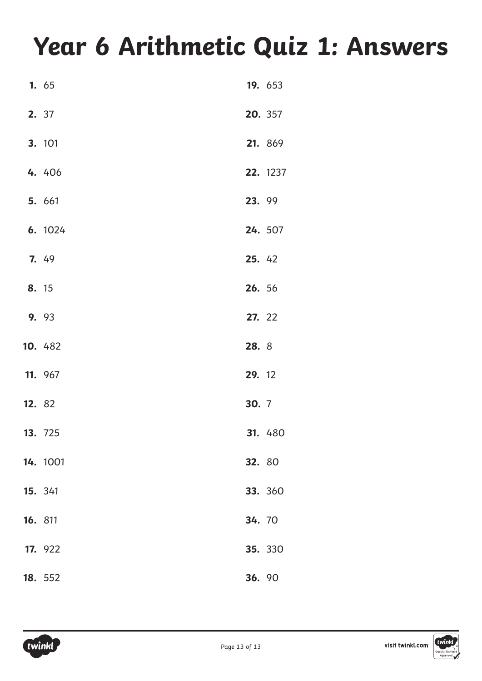## **Year 6 Arithmetic Quiz 1: Answers**

|         | 1. 65    |        | 19. 653  |
|---------|----------|--------|----------|
|         | 2. 37    |        | 20. 357  |
|         | 3. 101   |        | 21. 869  |
|         | 4. 406   |        | 22. 1237 |
|         | 5. 661   | 23. 99 |          |
|         | 6. 1024  |        | 24. 507  |
|         | 7. 49    | 25. 42 |          |
| 8. 15   |          | 26. 56 |          |
|         | 9. 93    | 27. 22 |          |
|         | 10. 482  | 28. 8  |          |
|         | 11. 967  | 29. 12 |          |
| 12. 82  |          | 30. 7  |          |
|         | 13. 725  |        | 31. 480  |
|         | 14. 1001 | 32. 80 |          |
|         | 15. 341  |        | 33. 360  |
| 16. 811 |          | 34. 70 |          |
|         | 17. 922  |        | 35. 330  |
|         | 18. 552  | 36. 90 |          |